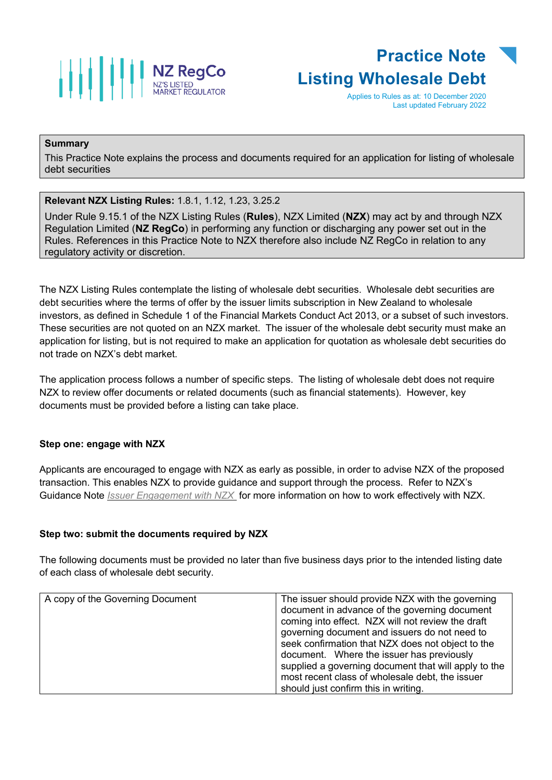



Applies to Rules as at: 10 December 2020 Last updated February 2022

## **Summary**

This Practice Note explains the process and documents required for an application for listing of wholesale debt securities

**Relevant NZX Listing Rules:** 1.8.1, 1.12, 1.23, 3.25.2

Under Rule 9.15.1 of the NZX Listing Rules (**Rules**), NZX Limited (**NZX**) may act by and through NZX Regulation Limited (**NZ RegCo**) in performing any function or discharging any power set out in the Rules. References in this Practice Note to NZX therefore also include NZ RegCo in relation to any regulatory activity or discretion.

The NZX Listing Rules contemplate the listing of wholesale debt securities. Wholesale debt securities are debt securities where the terms of offer by the issuer limits subscription in New Zealand to wholesale investors, as defined in Schedule 1 of the Financial Markets Conduct Act 2013, or a subset of such investors. These securities are not quoted on an NZX market. The issuer of the wholesale debt security must make an application for listing, but is not required to make an application for quotation as wholesale debt securities do not trade on NZX's debt market.

The application process follows a number of specific steps. The listing of wholesale debt does not require NZX to review offer documents or related documents (such as financial statements). However, key documents must be provided before a listing can take place.

## **Step one: engage with NZX**

Applicants are encouraged to engage with NZX as early as possible, in order to advise NZX of the proposed transaction. This enables NZX to provide guidance and support through the process. Refer to NZX's Guidance Note *[Issuer Engagement with NZX](https://www.nzx.com/regulation/nzx-rules-guidance/nzx-mo-announcements/guidance-notes)* for more information on how to work effectively with NZX.

## **Step two: submit the documents required by NZX**

The following documents must be provided no later than five business days prior to the intended listing date of each class of wholesale debt security.

| A copy of the Governing Document | The issuer should provide NZX with the governing<br>document in advance of the governing document<br>coming into effect. NZX will not review the draft<br>governing document and issuers do not need to<br>seek confirmation that NZX does not object to the<br>document. Where the issuer has previously<br>supplied a governing document that will apply to the |
|----------------------------------|-------------------------------------------------------------------------------------------------------------------------------------------------------------------------------------------------------------------------------------------------------------------------------------------------------------------------------------------------------------------|
|                                  | most recent class of wholesale debt, the issuer                                                                                                                                                                                                                                                                                                                   |
|                                  | should just confirm this in writing.                                                                                                                                                                                                                                                                                                                              |